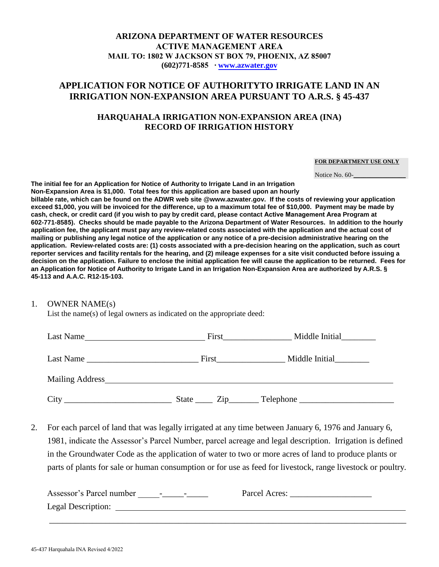## **ARIZONA DEPARTMENT OF WATER RESOURCES ACTIVE MANAGEMENT AREA MAIL TO: 1802 W JACKSON ST BOX 79, PHOENIX, AZ 85007 (602)771-8585 ∙ [www.azwater.gov](http://www.azwater.gov/)**

# **APPLICATION FOR NOTICE OF AUTHORITYTO IRRIGATE LAND IN AN IRRIGATION NON-EXPANSION AREA PURSUANT TO A.R.S. § 45-437**

## **HARQUAHALA IRRIGATION NON-EXPANSION AREA (INA) RECORD OF IRRIGATION HISTORY**

### **FOR DEPARTMENT USE ONLY**

Notice No. 60-

**The initial fee for an Application for Notice of Authority to Irrigate Land in an Irrigation Non-Expansion Area is \$1,000. Total fees for this application are based upon an hourly billable rate, which can be found on the ADWR web site @www.azwater.gov. If the costs of reviewing your application exceed \$1,000, you will be invoiced for the difference, up to a maximum total fee of \$10,000. Payment may be made by cash, check, or credit card (if you wish to pay by credit card, please contact Active Management Area Program at 602-771-8585). Checks should be made payable to the Arizona Department of Water Resources. In addition to the hourly application fee, the applicant must pay any review-related costs associated with the application and the actual cost of mailing or publishing any legal notice of the application or any notice of a pre-decision administrative hearing on the application. Review-related costs are: (1) costs associated with a pre-decision hearing on the application, such as court reporter services and facility rentals for the hearing, and (2) mileage expenses for a site visit conducted before issuing a decision on the application. Failure to enclose the initial application fee will cause the application to be returned. Fees for an Application for Notice of Authority to Irrigate Land in an Irrigation Non-Expansion Area are authorized by A.R.S. § 45-113 and A.A.C. R12-15-103.**

### 1. OWNER NAME(s)

List the name(s) of legal owners as indicated on the appropriate deed:

| Last Name | First Parties and Parties and Parties and Parties and Parties and Parties and Parties and Parties and Parties | Middle Initial             |
|-----------|---------------------------------------------------------------------------------------------------------------|----------------------------|
|           |                                                                                                               | Middle Initial             |
|           |                                                                                                               |                            |
| City      |                                                                                                               | State <u>Zip</u> Telephone |

2. For each parcel of land that was legally irrigated at any time between January 6, 1976 and January 6, 1981, indicate the Assessor's Parcel Number, parcel acreage and legal description. Irrigation is defined in the Groundwater Code as the application of water to two or more acres of land to produce plants or parts of plants for sale or human consumption or for use as feed for livestock, range livestock or poultry.

| Assessor's Parcel number | Parcel Acres: |
|--------------------------|---------------|
| Legal Description:       |               |

\_\_\_\_\_\_\_\_\_\_\_\_\_\_\_\_\_\_\_\_\_\_\_\_\_\_\_\_\_\_\_\_\_\_\_\_\_\_\_\_\_\_\_\_\_\_\_\_\_\_\_\_\_\_\_\_\_\_\_\_\_\_\_\_\_\_\_\_\_\_\_\_\_\_\_\_\_\_\_\_\_\_\_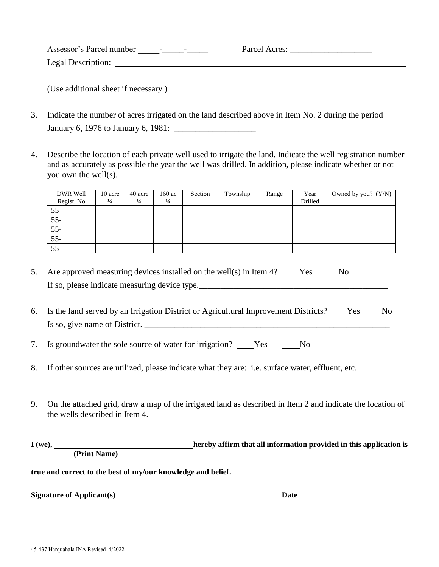| Assessor's Parcel number<br>$\overline{\phantom{0}}$<br>$\overline{\phantom{0}}$ | Parcel Acres: |
|----------------------------------------------------------------------------------|---------------|
| Legal Description:                                                               |               |
|                                                                                  |               |

(Use additional sheet if necessary.)

- 3. Indicate the number of acres irrigated on the land described above in Item No. 2 during the period January 6, 1976 to January 6, 1981: \_\_\_\_\_\_\_\_\_\_\_\_\_\_\_\_\_\_\_
- 4. Describe the location of each private well used to irrigate the land. Indicate the well registration number and as accurately as possible the year the well was drilled. In addition, please indicate whether or not you own the well(s).

| DWR Well        | 10 acre       | 40 acre       | 160 ac        | Section | Township | Range | Year    | Owned by you? $(Y/N)$ |
|-----------------|---------------|---------------|---------------|---------|----------|-------|---------|-----------------------|
| Regist. No      | $\frac{1}{4}$ | $\frac{1}{4}$ | $\frac{1}{4}$ |         |          |       | Drilled |                       |
| $55 -$          |               |               |               |         |          |       |         |                       |
| $55 -$          |               |               |               |         |          |       |         |                       |
| $\overline{55}$ |               |               |               |         |          |       |         |                       |
| $55-$           |               |               |               |         |          |       |         |                       |
| $\overline{55}$ |               |               |               |         |          |       |         |                       |

- 5. Are approved measuring devices installed on the well(s) in Item 4? Yes No If so, please indicate measuring device type.
- 6. Is the land served by an Irrigation District or Agricultural Improvement Districts? Yes No Is so, give name of District.
- 7. Is groundwater the sole source of water for irrigation? No No No No
- 8. If other sources are utilized, please indicate what they are: i.e. surface water, effluent, etc.
- 9. On the attached grid, draw a map of the irrigated land as described in Item 2 and indicate the location of the wells described in Item 4.

| $I(we)$ , |                                                              | hereby affirm that all information provided in this application is |
|-----------|--------------------------------------------------------------|--------------------------------------------------------------------|
|           | (Print Name)                                                 |                                                                    |
|           | true and correct to the best of my/our knowledge and belief. |                                                                    |

**Signature of Applicant(s)**

 **Date**